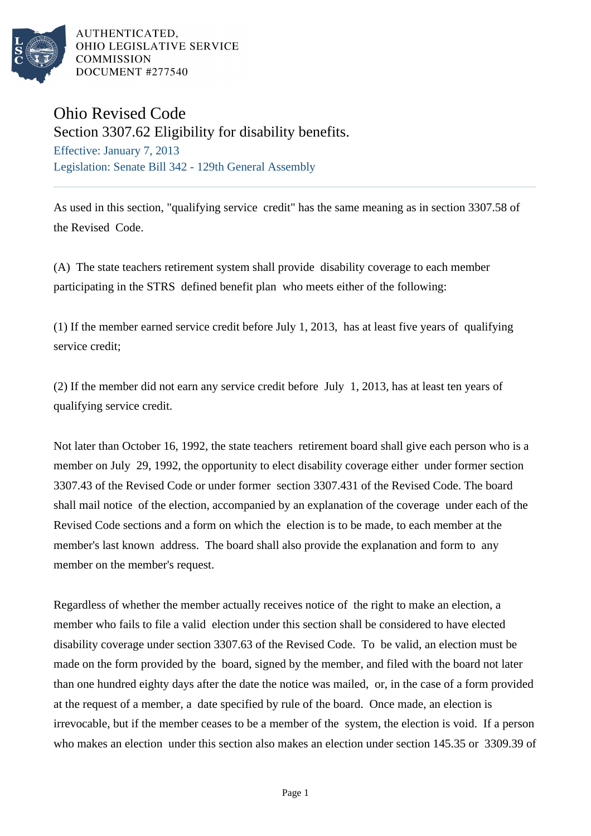

AUTHENTICATED. OHIO LEGISLATIVE SERVICE **COMMISSION** DOCUMENT #277540

## Ohio Revised Code

Section 3307.62 Eligibility for disability benefits. Effective: January 7, 2013

Legislation: Senate Bill 342 - 129th General Assembly

As used in this section, "qualifying service credit" has the same meaning as in section 3307.58 of the Revised Code.

(A) The state teachers retirement system shall provide disability coverage to each member participating in the STRS defined benefit plan who meets either of the following:

(1) If the member earned service credit before July 1, 2013, has at least five years of qualifying service credit;

(2) If the member did not earn any service credit before July 1, 2013, has at least ten years of qualifying service credit.

Not later than October 16, 1992, the state teachers retirement board shall give each person who is a member on July 29, 1992, the opportunity to elect disability coverage either under former section 3307.43 of the Revised Code or under former section 3307.431 of the Revised Code. The board shall mail notice of the election, accompanied by an explanation of the coverage under each of the Revised Code sections and a form on which the election is to be made, to each member at the member's last known address. The board shall also provide the explanation and form to any member on the member's request.

Regardless of whether the member actually receives notice of the right to make an election, a member who fails to file a valid election under this section shall be considered to have elected disability coverage under section 3307.63 of the Revised Code. To be valid, an election must be made on the form provided by the board, signed by the member, and filed with the board not later than one hundred eighty days after the date the notice was mailed, or, in the case of a form provided at the request of a member, a date specified by rule of the board. Once made, an election is irrevocable, but if the member ceases to be a member of the system, the election is void. If a person who makes an election under this section also makes an election under section 145.35 or 3309.39 of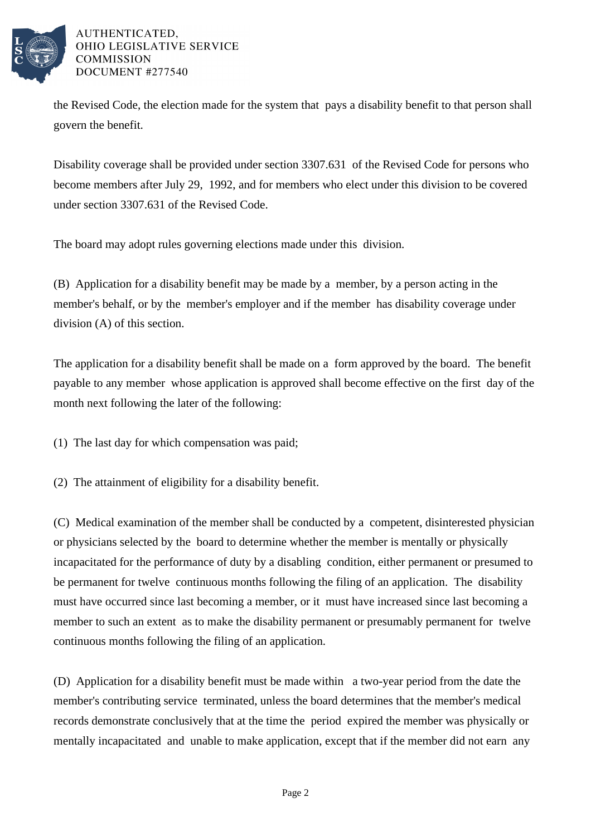

AUTHENTICATED. OHIO LEGISLATIVE SERVICE **COMMISSION** DOCUMENT #277540

the Revised Code, the election made for the system that pays a disability benefit to that person shall govern the benefit.

Disability coverage shall be provided under section 3307.631 of the Revised Code for persons who become members after July 29, 1992, and for members who elect under this division to be covered under section 3307.631 of the Revised Code.

The board may adopt rules governing elections made under this division.

(B) Application for a disability benefit may be made by a member, by a person acting in the member's behalf, or by the member's employer and if the member has disability coverage under division (A) of this section.

The application for a disability benefit shall be made on a form approved by the board. The benefit payable to any member whose application is approved shall become effective on the first day of the month next following the later of the following:

(1) The last day for which compensation was paid;

(2) The attainment of eligibility for a disability benefit.

(C) Medical examination of the member shall be conducted by a competent, disinterested physician or physicians selected by the board to determine whether the member is mentally or physically incapacitated for the performance of duty by a disabling condition, either permanent or presumed to be permanent for twelve continuous months following the filing of an application. The disability must have occurred since last becoming a member, or it must have increased since last becoming a member to such an extent as to make the disability permanent or presumably permanent for twelve continuous months following the filing of an application.

(D) Application for a disability benefit must be made within a two-year period from the date the member's contributing service terminated, unless the board determines that the member's medical records demonstrate conclusively that at the time the period expired the member was physically or mentally incapacitated and unable to make application, except that if the member did not earn any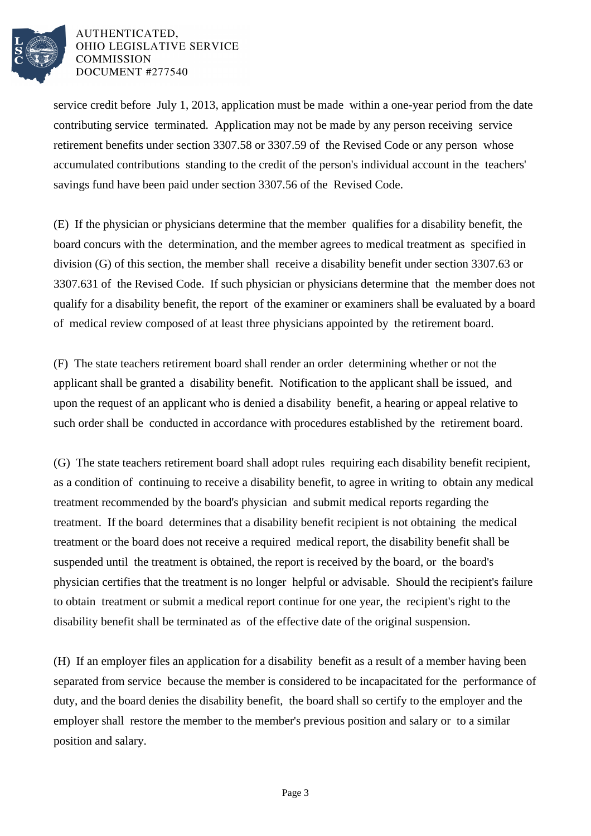

## AUTHENTICATED. OHIO LEGISLATIVE SERVICE **COMMISSION** DOCUMENT #277540

service credit before July 1, 2013, application must be made within a one-year period from the date contributing service terminated. Application may not be made by any person receiving service retirement benefits under section 3307.58 or 3307.59 of the Revised Code or any person whose accumulated contributions standing to the credit of the person's individual account in the teachers' savings fund have been paid under section 3307.56 of the Revised Code.

(E) If the physician or physicians determine that the member qualifies for a disability benefit, the board concurs with the determination, and the member agrees to medical treatment as specified in division (G) of this section, the member shall receive a disability benefit under section 3307.63 or 3307.631 of the Revised Code. If such physician or physicians determine that the member does not qualify for a disability benefit, the report of the examiner or examiners shall be evaluated by a board of medical review composed of at least three physicians appointed by the retirement board.

(F) The state teachers retirement board shall render an order determining whether or not the applicant shall be granted a disability benefit. Notification to the applicant shall be issued, and upon the request of an applicant who is denied a disability benefit, a hearing or appeal relative to such order shall be conducted in accordance with procedures established by the retirement board.

(G) The state teachers retirement board shall adopt rules requiring each disability benefit recipient, as a condition of continuing to receive a disability benefit, to agree in writing to obtain any medical treatment recommended by the board's physician and submit medical reports regarding the treatment. If the board determines that a disability benefit recipient is not obtaining the medical treatment or the board does not receive a required medical report, the disability benefit shall be suspended until the treatment is obtained, the report is received by the board, or the board's physician certifies that the treatment is no longer helpful or advisable. Should the recipient's failure to obtain treatment or submit a medical report continue for one year, the recipient's right to the disability benefit shall be terminated as of the effective date of the original suspension.

(H) If an employer files an application for a disability benefit as a result of a member having been separated from service because the member is considered to be incapacitated for the performance of duty, and the board denies the disability benefit, the board shall so certify to the employer and the employer shall restore the member to the member's previous position and salary or to a similar position and salary.